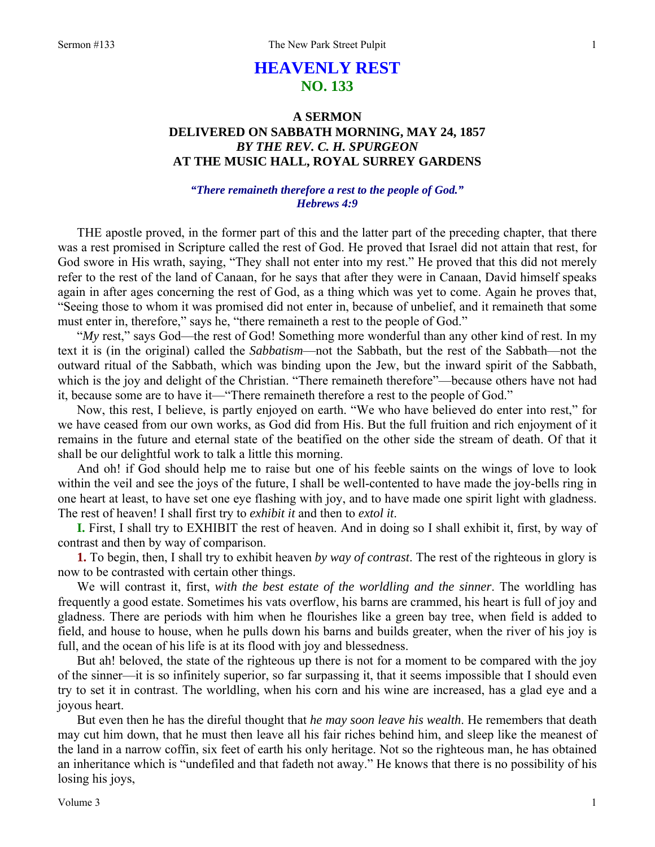# **HEAVENLY REST NO. 133**

# **A SERMON DELIVERED ON SABBATH MORNING, MAY 24, 1857**  *BY THE REV. C. H. SPURGEON*  **AT THE MUSIC HALL, ROYAL SURREY GARDENS**

# *"There remaineth therefore a rest to the people of God." Hebrews 4:9*

THE apostle proved, in the former part of this and the latter part of the preceding chapter, that there was a rest promised in Scripture called the rest of God. He proved that Israel did not attain that rest, for God swore in His wrath, saying, "They shall not enter into my rest." He proved that this did not merely refer to the rest of the land of Canaan, for he says that after they were in Canaan, David himself speaks again in after ages concerning the rest of God, as a thing which was yet to come. Again he proves that, "Seeing those to whom it was promised did not enter in, because of unbelief, and it remaineth that some must enter in, therefore," says he, "there remaineth a rest to the people of God."

"*My* rest," says God—the rest of God! Something more wonderful than any other kind of rest. In my text it is (in the original) called the *Sabbatism*—not the Sabbath, but the rest of the Sabbath—not the outward ritual of the Sabbath, which was binding upon the Jew, but the inward spirit of the Sabbath, which is the joy and delight of the Christian. "There remaineth therefore"—because others have not had it, because some are to have it—"There remaineth therefore a rest to the people of God."

Now, this rest, I believe, is partly enjoyed on earth. "We who have believed do enter into rest," for we have ceased from our own works, as God did from His. But the full fruition and rich enjoyment of it remains in the future and eternal state of the beatified on the other side the stream of death. Of that it shall be our delightful work to talk a little this morning.

And oh! if God should help me to raise but one of his feeble saints on the wings of love to look within the veil and see the joys of the future, I shall be well-contented to have made the joy-bells ring in one heart at least, to have set one eye flashing with joy, and to have made one spirit light with gladness. The rest of heaven! I shall first try to *exhibit it* and then to *extol it*.

**I.** First, I shall try to EXHIBIT the rest of heaven. And in doing so I shall exhibit it, first, by way of contrast and then by way of comparison.

**1.** To begin, then, I shall try to exhibit heaven *by way of contrast*. The rest of the righteous in glory is now to be contrasted with certain other things.

We will contrast it, first, *with the best estate of the worldling and the sinner*. The worldling has frequently a good estate. Sometimes his vats overflow, his barns are crammed, his heart is full of joy and gladness. There are periods with him when he flourishes like a green bay tree, when field is added to field, and house to house, when he pulls down his barns and builds greater, when the river of his joy is full, and the ocean of his life is at its flood with joy and blessedness.

But ah! beloved, the state of the righteous up there is not for a moment to be compared with the joy of the sinner—it is so infinitely superior, so far surpassing it, that it seems impossible that I should even try to set it in contrast. The worldling, when his corn and his wine are increased, has a glad eye and a joyous heart.

But even then he has the direful thought that *he may soon leave his wealth*. He remembers that death may cut him down, that he must then leave all his fair riches behind him, and sleep like the meanest of the land in a narrow coffin, six feet of earth his only heritage. Not so the righteous man, he has obtained an inheritance which is "undefiled and that fadeth not away." He knows that there is no possibility of his losing his joys,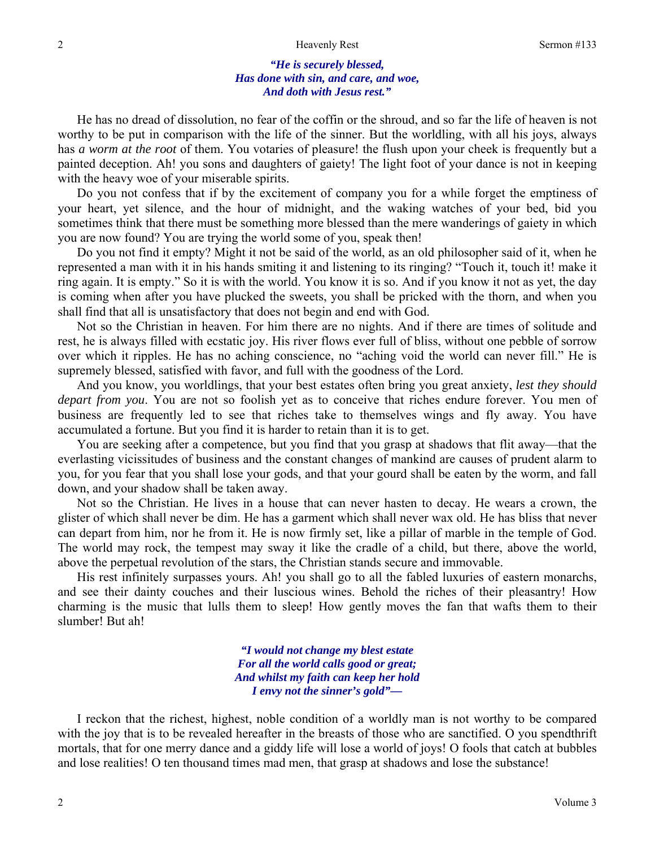#### Heavenly Rest Sermon #133

### *"He is securely blessed, Has done with sin, and care, and woe, And doth with Jesus rest."*

He has no dread of dissolution, no fear of the coffin or the shroud, and so far the life of heaven is not worthy to be put in comparison with the life of the sinner. But the worldling, with all his joys, always has *a worm at the root* of them. You votaries of pleasure! the flush upon your cheek is frequently but a painted deception. Ah! you sons and daughters of gaiety! The light foot of your dance is not in keeping with the heavy woe of your miserable spirits.

Do you not confess that if by the excitement of company you for a while forget the emptiness of your heart, yet silence, and the hour of midnight, and the waking watches of your bed, bid you sometimes think that there must be something more blessed than the mere wanderings of gaiety in which you are now found? You are trying the world some of you, speak then!

Do you not find it empty? Might it not be said of the world, as an old philosopher said of it, when he represented a man with it in his hands smiting it and listening to its ringing? "Touch it, touch it! make it ring again. It is empty." So it is with the world. You know it is so. And if you know it not as yet, the day is coming when after you have plucked the sweets, you shall be pricked with the thorn, and when you shall find that all is unsatisfactory that does not begin and end with God.

Not so the Christian in heaven. For him there are no nights. And if there are times of solitude and rest, he is always filled with ecstatic joy. His river flows ever full of bliss, without one pebble of sorrow over which it ripples. He has no aching conscience, no "aching void the world can never fill." He is supremely blessed, satisfied with favor, and full with the goodness of the Lord.

And you know, you worldlings, that your best estates often bring you great anxiety, *lest they should depart from you*. You are not so foolish yet as to conceive that riches endure forever. You men of business are frequently led to see that riches take to themselves wings and fly away. You have accumulated a fortune. But you find it is harder to retain than it is to get.

You are seeking after a competence, but you find that you grasp at shadows that flit away—that the everlasting vicissitudes of business and the constant changes of mankind are causes of prudent alarm to you, for you fear that you shall lose your gods, and that your gourd shall be eaten by the worm, and fall down, and your shadow shall be taken away.

Not so the Christian. He lives in a house that can never hasten to decay. He wears a crown, the glister of which shall never be dim. He has a garment which shall never wax old. He has bliss that never can depart from him, nor he from it. He is now firmly set, like a pillar of marble in the temple of God. The world may rock, the tempest may sway it like the cradle of a child, but there, above the world, above the perpetual revolution of the stars, the Christian stands secure and immovable.

His rest infinitely surpasses yours. Ah! you shall go to all the fabled luxuries of eastern monarchs, and see their dainty couches and their luscious wines. Behold the riches of their pleasantry! How charming is the music that lulls them to sleep! How gently moves the fan that wafts them to their slumber! But ah!

> *"I would not change my blest estate For all the world calls good or great; And whilst my faith can keep her hold I envy not the sinner's gold"—*

I reckon that the richest, highest, noble condition of a worldly man is not worthy to be compared with the joy that is to be revealed hereafter in the breasts of those who are sanctified. O you spendthrift mortals, that for one merry dance and a giddy life will lose a world of joys! O fools that catch at bubbles and lose realities! O ten thousand times mad men, that grasp at shadows and lose the substance!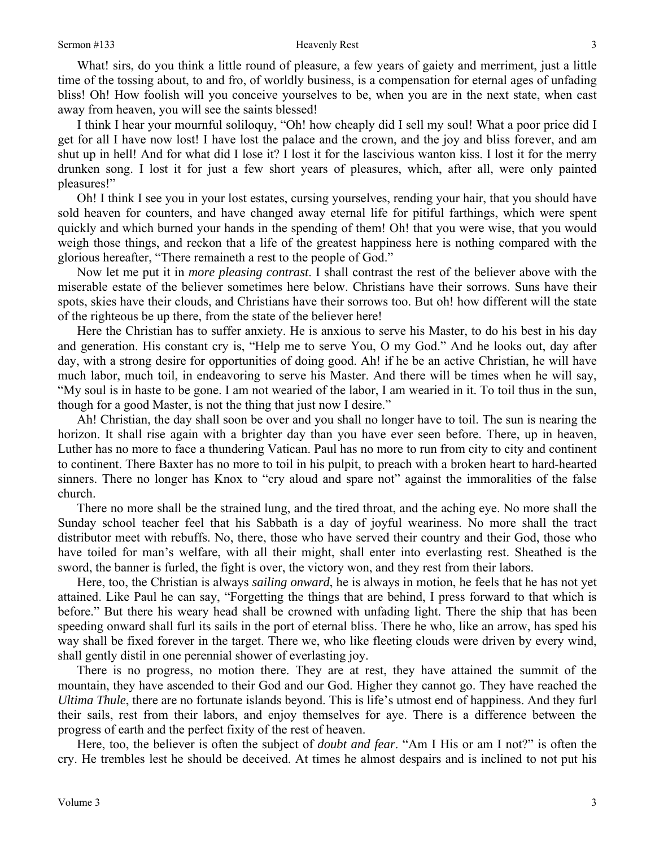What! sirs, do you think a little round of pleasure, a few years of gaiety and merriment, just a little time of the tossing about, to and fro, of worldly business, is a compensation for eternal ages of unfading bliss! Oh! How foolish will you conceive yourselves to be, when you are in the next state, when cast away from heaven, you will see the saints blessed!

I think I hear your mournful soliloquy, "Oh! how cheaply did I sell my soul! What a poor price did I get for all I have now lost! I have lost the palace and the crown, and the joy and bliss forever, and am shut up in hell! And for what did I lose it? I lost it for the lascivious wanton kiss. I lost it for the merry drunken song. I lost it for just a few short years of pleasures, which, after all, were only painted pleasures!"

Oh! I think I see you in your lost estates, cursing yourselves, rending your hair, that you should have sold heaven for counters, and have changed away eternal life for pitiful farthings, which were spent quickly and which burned your hands in the spending of them! Oh! that you were wise, that you would weigh those things, and reckon that a life of the greatest happiness here is nothing compared with the glorious hereafter, "There remaineth a rest to the people of God."

Now let me put it in *more pleasing contrast*. I shall contrast the rest of the believer above with the miserable estate of the believer sometimes here below. Christians have their sorrows. Suns have their spots, skies have their clouds, and Christians have their sorrows too. But oh! how different will the state of the righteous be up there, from the state of the believer here!

Here the Christian has to suffer anxiety. He is anxious to serve his Master, to do his best in his day and generation. His constant cry is, "Help me to serve You, O my God." And he looks out, day after day, with a strong desire for opportunities of doing good. Ah! if he be an active Christian, he will have much labor, much toil, in endeavoring to serve his Master. And there will be times when he will say, "My soul is in haste to be gone. I am not wearied of the labor, I am wearied in it. To toil thus in the sun, though for a good Master, is not the thing that just now I desire."

Ah! Christian, the day shall soon be over and you shall no longer have to toil. The sun is nearing the horizon. It shall rise again with a brighter day than you have ever seen before. There, up in heaven, Luther has no more to face a thundering Vatican. Paul has no more to run from city to city and continent to continent. There Baxter has no more to toil in his pulpit, to preach with a broken heart to hard-hearted sinners. There no longer has Knox to "cry aloud and spare not" against the immoralities of the false church.

There no more shall be the strained lung, and the tired throat, and the aching eye. No more shall the Sunday school teacher feel that his Sabbath is a day of joyful weariness. No more shall the tract distributor meet with rebuffs. No, there, those who have served their country and their God, those who have toiled for man's welfare, with all their might, shall enter into everlasting rest. Sheathed is the sword, the banner is furled, the fight is over, the victory won, and they rest from their labors.

Here, too, the Christian is always *sailing onward*, he is always in motion, he feels that he has not yet attained. Like Paul he can say, "Forgetting the things that are behind, I press forward to that which is before." But there his weary head shall be crowned with unfading light. There the ship that has been speeding onward shall furl its sails in the port of eternal bliss. There he who, like an arrow, has sped his way shall be fixed forever in the target. There we, who like fleeting clouds were driven by every wind, shall gently distil in one perennial shower of everlasting joy.

There is no progress, no motion there. They are at rest, they have attained the summit of the mountain, they have ascended to their God and our God. Higher they cannot go. They have reached the *Ultima Thule*, there are no fortunate islands beyond. This is life's utmost end of happiness. And they furl their sails, rest from their labors, and enjoy themselves for aye. There is a difference between the progress of earth and the perfect fixity of the rest of heaven.

Here, too, the believer is often the subject of *doubt and fear*. "Am I His or am I not?" is often the cry. He trembles lest he should be deceived. At times he almost despairs and is inclined to not put his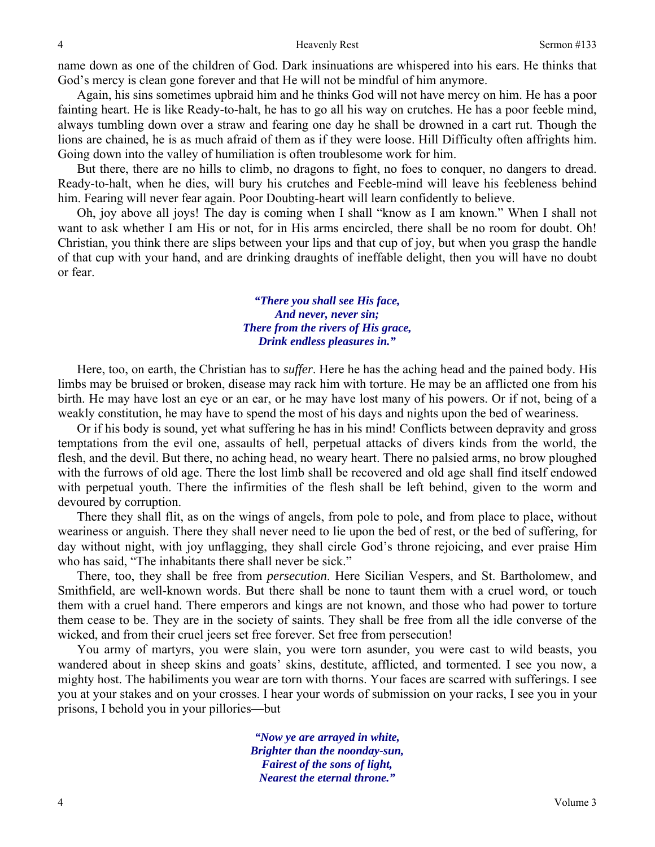name down as one of the children of God. Dark insinuations are whispered into his ears. He thinks that God's mercy is clean gone forever and that He will not be mindful of him anymore.

Again, his sins sometimes upbraid him and he thinks God will not have mercy on him. He has a poor fainting heart. He is like Ready-to-halt, he has to go all his way on crutches. He has a poor feeble mind, always tumbling down over a straw and fearing one day he shall be drowned in a cart rut. Though the lions are chained, he is as much afraid of them as if they were loose. Hill Difficulty often affrights him. Going down into the valley of humiliation is often troublesome work for him.

But there, there are no hills to climb, no dragons to fight, no foes to conquer, no dangers to dread. Ready-to-halt, when he dies, will bury his crutches and Feeble-mind will leave his feebleness behind him. Fearing will never fear again. Poor Doubting-heart will learn confidently to believe.

Oh, joy above all joys! The day is coming when I shall "know as I am known." When I shall not want to ask whether I am His or not, for in His arms encircled, there shall be no room for doubt. Oh! Christian, you think there are slips between your lips and that cup of joy, but when you grasp the handle of that cup with your hand, and are drinking draughts of ineffable delight, then you will have no doubt or fear.

> *"There you shall see His face, And never, never sin; There from the rivers of His grace, Drink endless pleasures in."*

Here, too, on earth, the Christian has to *suffer*. Here he has the aching head and the pained body. His limbs may be bruised or broken, disease may rack him with torture. He may be an afflicted one from his birth. He may have lost an eye or an ear, or he may have lost many of his powers. Or if not, being of a weakly constitution, he may have to spend the most of his days and nights upon the bed of weariness.

Or if his body is sound, yet what suffering he has in his mind! Conflicts between depravity and gross temptations from the evil one, assaults of hell, perpetual attacks of divers kinds from the world, the flesh, and the devil. But there, no aching head, no weary heart. There no palsied arms, no brow ploughed with the furrows of old age. There the lost limb shall be recovered and old age shall find itself endowed with perpetual youth. There the infirmities of the flesh shall be left behind, given to the worm and devoured by corruption.

There they shall flit, as on the wings of angels, from pole to pole, and from place to place, without weariness or anguish. There they shall never need to lie upon the bed of rest, or the bed of suffering, for day without night, with joy unflagging, they shall circle God's throne rejoicing, and ever praise Him who has said, "The inhabitants there shall never be sick."

There, too, they shall be free from *persecution*. Here Sicilian Vespers, and St. Bartholomew, and Smithfield, are well-known words. But there shall be none to taunt them with a cruel word, or touch them with a cruel hand. There emperors and kings are not known, and those who had power to torture them cease to be. They are in the society of saints. They shall be free from all the idle converse of the wicked, and from their cruel jeers set free forever. Set free from persecution!

You army of martyrs, you were slain, you were torn asunder, you were cast to wild beasts, you wandered about in sheep skins and goats' skins, destitute, afflicted, and tormented. I see you now, a mighty host. The habiliments you wear are torn with thorns. Your faces are scarred with sufferings. I see you at your stakes and on your crosses. I hear your words of submission on your racks, I see you in your prisons, I behold you in your pillories—but

> *"Now ye are arrayed in white, Brighter than the noonday-sun, Fairest of the sons of light, Nearest the eternal throne."*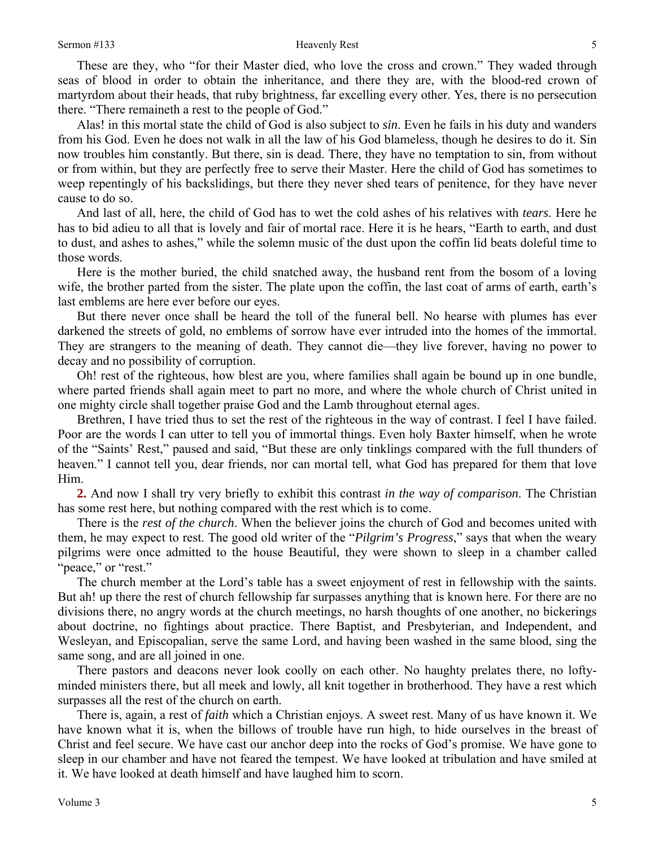These are they, who "for their Master died, who love the cross and crown." They waded through seas of blood in order to obtain the inheritance, and there they are, with the blood-red crown of martyrdom about their heads, that ruby brightness, far excelling every other. Yes, there is no persecution there. "There remaineth a rest to the people of God."

Alas! in this mortal state the child of God is also subject to *sin*. Even he fails in his duty and wanders from his God. Even he does not walk in all the law of his God blameless, though he desires to do it. Sin now troubles him constantly. But there, sin is dead. There, they have no temptation to sin, from without or from within, but they are perfectly free to serve their Master. Here the child of God has sometimes to weep repentingly of his backslidings, but there they never shed tears of penitence, for they have never cause to do so.

And last of all, here, the child of God has to wet the cold ashes of his relatives with *tears*. Here he has to bid adieu to all that is lovely and fair of mortal race. Here it is he hears, "Earth to earth, and dust to dust, and ashes to ashes," while the solemn music of the dust upon the coffin lid beats doleful time to those words.

Here is the mother buried, the child snatched away, the husband rent from the bosom of a loving wife, the brother parted from the sister. The plate upon the coffin, the last coat of arms of earth, earth's last emblems are here ever before our eyes.

But there never once shall be heard the toll of the funeral bell. No hearse with plumes has ever darkened the streets of gold, no emblems of sorrow have ever intruded into the homes of the immortal. They are strangers to the meaning of death. They cannot die—they live forever, having no power to decay and no possibility of corruption.

Oh! rest of the righteous, how blest are you, where families shall again be bound up in one bundle, where parted friends shall again meet to part no more, and where the whole church of Christ united in one mighty circle shall together praise God and the Lamb throughout eternal ages.

Brethren, I have tried thus to set the rest of the righteous in the way of contrast. I feel I have failed. Poor are the words I can utter to tell you of immortal things. Even holy Baxter himself, when he wrote of the "Saints' Rest," paused and said, "But these are only tinklings compared with the full thunders of heaven." I cannot tell you, dear friends, nor can mortal tell, what God has prepared for them that love Him.

**2.** And now I shall try very briefly to exhibit this contrast *in the way of comparison*. The Christian has some rest here, but nothing compared with the rest which is to come.

There is the *rest of the church*. When the believer joins the church of God and becomes united with them, he may expect to rest. The good old writer of the "*Pilgrim's Progress*," says that when the weary pilgrims were once admitted to the house Beautiful, they were shown to sleep in a chamber called "peace," or "rest."

The church member at the Lord's table has a sweet enjoyment of rest in fellowship with the saints. But ah! up there the rest of church fellowship far surpasses anything that is known here. For there are no divisions there, no angry words at the church meetings, no harsh thoughts of one another, no bickerings about doctrine, no fightings about practice. There Baptist, and Presbyterian, and Independent, and Wesleyan, and Episcopalian, serve the same Lord, and having been washed in the same blood, sing the same song, and are all joined in one.

There pastors and deacons never look coolly on each other. No haughty prelates there, no loftyminded ministers there, but all meek and lowly, all knit together in brotherhood. They have a rest which surpasses all the rest of the church on earth.

There is, again, a rest of *faith* which a Christian enjoys. A sweet rest. Many of us have known it. We have known what it is, when the billows of trouble have run high, to hide ourselves in the breast of Christ and feel secure. We have cast our anchor deep into the rocks of God's promise. We have gone to sleep in our chamber and have not feared the tempest. We have looked at tribulation and have smiled at it. We have looked at death himself and have laughed him to scorn.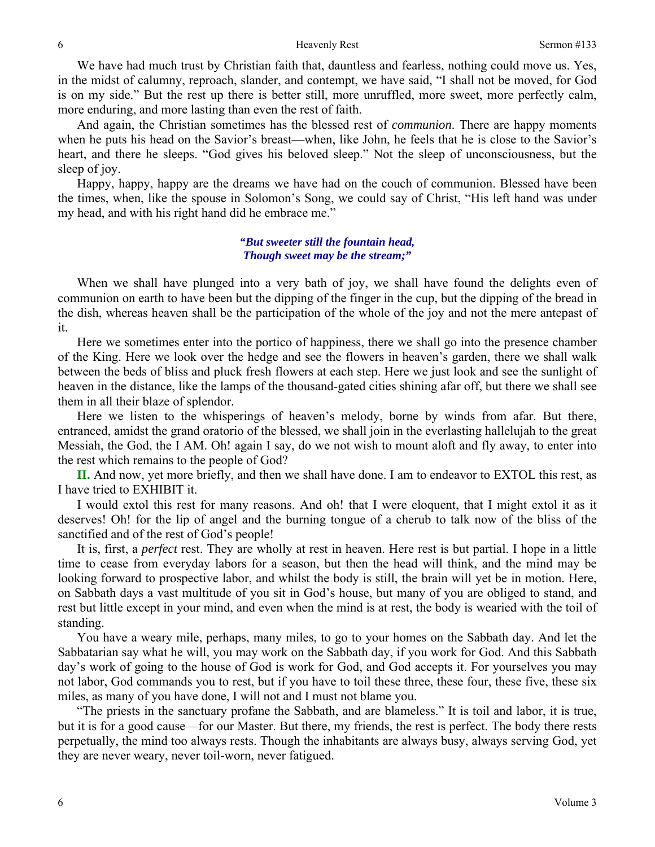We have had much trust by Christian faith that, dauntless and fearless, nothing could move us. Yes, in the midst of calumny, reproach, slander, and contempt, we have said, "I shall not be moved, for God is on my side." But the rest up there is better still, more unruffled, more sweet, more perfectly calm, more enduring, and more lasting than even the rest of faith.

And again, the Christian sometimes has the blessed rest of *communion*. There are happy moments when he puts his head on the Savior's breast—when, like John, he feels that he is close to the Savior's heart, and there he sleeps. "God gives his beloved sleep." Not the sleep of unconsciousness, but the sleep of joy.

Happy, happy, happy are the dreams we have had on the couch of communion. Blessed have been the times, when, like the spouse in Solomon's Song, we could say of Christ, "His left hand was under my head, and with his right hand did he embrace me."

## *"But sweeter still the fountain head, Though sweet may be the stream;"*

When we shall have plunged into a very bath of joy, we shall have found the delights even of communion on earth to have been but the dipping of the finger in the cup, but the dipping of the bread in the dish, whereas heaven shall be the participation of the whole of the joy and not the mere antepast of it.

Here we sometimes enter into the portico of happiness, there we shall go into the presence chamber of the King. Here we look over the hedge and see the flowers in heaven's garden, there we shall walk between the beds of bliss and pluck fresh flowers at each step. Here we just look and see the sunlight of heaven in the distance, like the lamps of the thousand-gated cities shining afar off, but there we shall see them in all their blaze of splendor.

Here we listen to the whisperings of heaven's melody, borne by winds from afar. But there, entranced, amidst the grand oratorio of the blessed, we shall join in the everlasting hallelujah to the great Messiah, the God, the I AM. Oh! again I say, do we not wish to mount aloft and fly away, to enter into the rest which remains to the people of God?

**II.** And now, yet more briefly, and then we shall have done. I am to endeavor to EXTOL this rest, as I have tried to EXHIBIT it.

I would extol this rest for many reasons. And oh! that I were eloquent, that I might extol it as it deserves! Oh! for the lip of angel and the burning tongue of a cherub to talk now of the bliss of the sanctified and of the rest of God's people!

It is, first, a *perfect* rest. They are wholly at rest in heaven. Here rest is but partial. I hope in a little time to cease from everyday labors for a season, but then the head will think, and the mind may be looking forward to prospective labor, and whilst the body is still, the brain will yet be in motion. Here, on Sabbath days a vast multitude of you sit in God's house, but many of you are obliged to stand, and rest but little except in your mind, and even when the mind is at rest, the body is wearied with the toil of standing.

You have a weary mile, perhaps, many miles, to go to your homes on the Sabbath day. And let the Sabbatarian say what he will, you may work on the Sabbath day, if you work for God. And this Sabbath day's work of going to the house of God is work for God, and God accepts it. For yourselves you may not labor, God commands you to rest, but if you have to toil these three, these four, these five, these six miles, as many of you have done, I will not and I must not blame you.

"The priests in the sanctuary profane the Sabbath, and are blameless." It is toil and labor, it is true, but it is for a good cause—for our Master. But there, my friends, the rest is perfect. The body there rests perpetually, the mind too always rests. Though the inhabitants are always busy, always serving God, yet they are never weary, never toil-worn, never fatigued.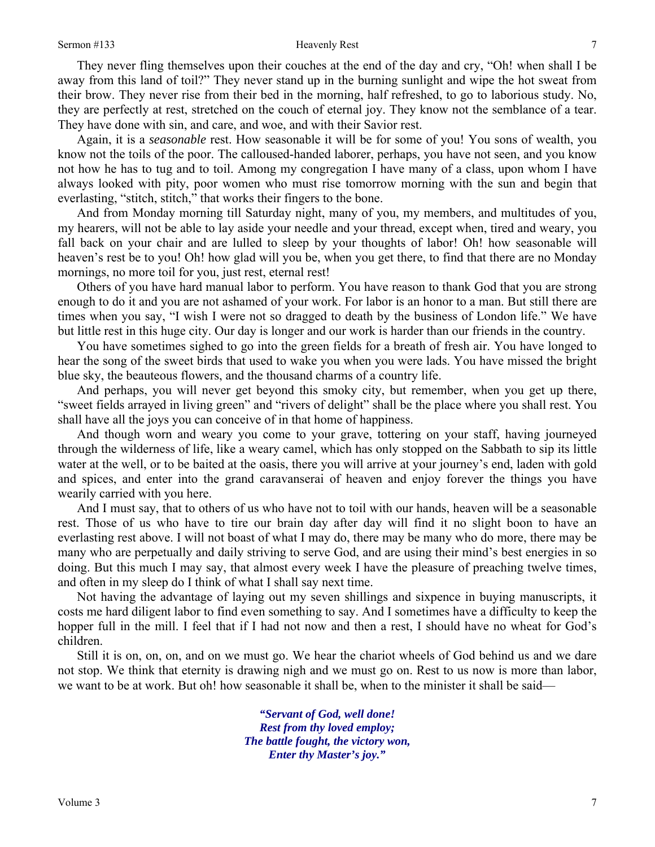#### Sermon #133 Heavenly Rest

They never fling themselves upon their couches at the end of the day and cry, "Oh! when shall I be away from this land of toil?" They never stand up in the burning sunlight and wipe the hot sweat from their brow. They never rise from their bed in the morning, half refreshed, to go to laborious study. No, they are perfectly at rest, stretched on the couch of eternal joy. They know not the semblance of a tear. They have done with sin, and care, and woe, and with their Savior rest.

Again, it is a *seasonable* rest. How seasonable it will be for some of you! You sons of wealth, you know not the toils of the poor. The calloused-handed laborer, perhaps, you have not seen, and you know not how he has to tug and to toil. Among my congregation I have many of a class, upon whom I have always looked with pity, poor women who must rise tomorrow morning with the sun and begin that everlasting, "stitch, stitch," that works their fingers to the bone.

And from Monday morning till Saturday night, many of you, my members, and multitudes of you, my hearers, will not be able to lay aside your needle and your thread, except when, tired and weary, you fall back on your chair and are lulled to sleep by your thoughts of labor! Oh! how seasonable will heaven's rest be to you! Oh! how glad will you be, when you get there, to find that there are no Monday mornings, no more toil for you, just rest, eternal rest!

Others of you have hard manual labor to perform. You have reason to thank God that you are strong enough to do it and you are not ashamed of your work. For labor is an honor to a man. But still there are times when you say, "I wish I were not so dragged to death by the business of London life." We have but little rest in this huge city. Our day is longer and our work is harder than our friends in the country.

You have sometimes sighed to go into the green fields for a breath of fresh air. You have longed to hear the song of the sweet birds that used to wake you when you were lads. You have missed the bright blue sky, the beauteous flowers, and the thousand charms of a country life.

And perhaps, you will never get beyond this smoky city, but remember, when you get up there, "sweet fields arrayed in living green" and "rivers of delight" shall be the place where you shall rest. You shall have all the joys you can conceive of in that home of happiness.

And though worn and weary you come to your grave, tottering on your staff, having journeyed through the wilderness of life, like a weary camel, which has only stopped on the Sabbath to sip its little water at the well, or to be baited at the oasis, there you will arrive at your journey's end, laden with gold and spices, and enter into the grand caravanserai of heaven and enjoy forever the things you have wearily carried with you here.

And I must say, that to others of us who have not to toil with our hands, heaven will be a seasonable rest. Those of us who have to tire our brain day after day will find it no slight boon to have an everlasting rest above. I will not boast of what I may do, there may be many who do more, there may be many who are perpetually and daily striving to serve God, and are using their mind's best energies in so doing. But this much I may say, that almost every week I have the pleasure of preaching twelve times, and often in my sleep do I think of what I shall say next time.

Not having the advantage of laying out my seven shillings and sixpence in buying manuscripts, it costs me hard diligent labor to find even something to say. And I sometimes have a difficulty to keep the hopper full in the mill. I feel that if I had not now and then a rest, I should have no wheat for God's children.

Still it is on, on, on, and on we must go. We hear the chariot wheels of God behind us and we dare not stop. We think that eternity is drawing nigh and we must go on. Rest to us now is more than labor, we want to be at work. But oh! how seasonable it shall be, when to the minister it shall be said—

> *"Servant of God, well done! Rest from thy loved employ; The battle fought, the victory won, Enter thy Master's joy."*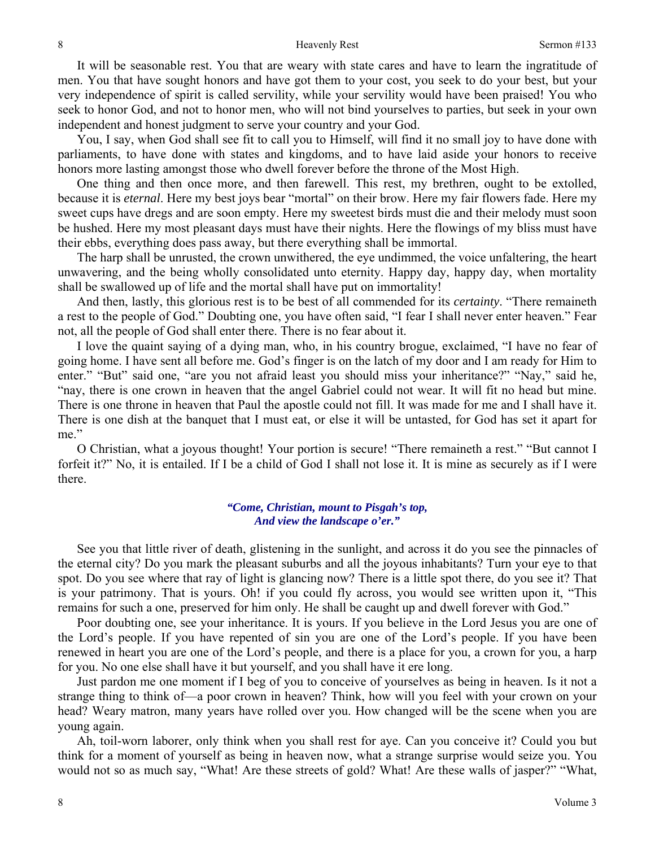#### Heavenly Rest Sermon #133

It will be seasonable rest. You that are weary with state cares and have to learn the ingratitude of men. You that have sought honors and have got them to your cost, you seek to do your best, but your very independence of spirit is called servility, while your servility would have been praised! You who seek to honor God, and not to honor men, who will not bind yourselves to parties, but seek in your own independent and honest judgment to serve your country and your God.

You, I say, when God shall see fit to call you to Himself, will find it no small joy to have done with parliaments, to have done with states and kingdoms, and to have laid aside your honors to receive honors more lasting amongst those who dwell forever before the throne of the Most High.

One thing and then once more, and then farewell. This rest, my brethren, ought to be extolled, because it is *eternal*. Here my best joys bear "mortal" on their brow. Here my fair flowers fade. Here my sweet cups have dregs and are soon empty. Here my sweetest birds must die and their melody must soon be hushed. Here my most pleasant days must have their nights. Here the flowings of my bliss must have their ebbs, everything does pass away, but there everything shall be immortal.

The harp shall be unrusted, the crown unwithered, the eye undimmed, the voice unfaltering, the heart unwavering, and the being wholly consolidated unto eternity. Happy day, happy day, when mortality shall be swallowed up of life and the mortal shall have put on immortality!

And then, lastly, this glorious rest is to be best of all commended for its *certainty*. "There remaineth a rest to the people of God." Doubting one, you have often said, "I fear I shall never enter heaven." Fear not, all the people of God shall enter there. There is no fear about it.

I love the quaint saying of a dying man, who, in his country brogue, exclaimed, "I have no fear of going home. I have sent all before me. God's finger is on the latch of my door and I am ready for Him to enter." "But" said one, "are you not afraid least you should miss your inheritance?" "Nay," said he, "nay, there is one crown in heaven that the angel Gabriel could not wear. It will fit no head but mine. There is one throne in heaven that Paul the apostle could not fill. It was made for me and I shall have it. There is one dish at the banquet that I must eat, or else it will be untasted, for God has set it apart for me."

O Christian, what a joyous thought! Your portion is secure! "There remaineth a rest." "But cannot I forfeit it?" No, it is entailed. If I be a child of God I shall not lose it. It is mine as securely as if I were there.

## *"Come, Christian, mount to Pisgah's top, And view the landscape o'er."*

See you that little river of death, glistening in the sunlight, and across it do you see the pinnacles of the eternal city? Do you mark the pleasant suburbs and all the joyous inhabitants? Turn your eye to that spot. Do you see where that ray of light is glancing now? There is a little spot there, do you see it? That is your patrimony. That is yours. Oh! if you could fly across, you would see written upon it, "This remains for such a one, preserved for him only. He shall be caught up and dwell forever with God."

Poor doubting one, see your inheritance. It is yours. If you believe in the Lord Jesus you are one of the Lord's people. If you have repented of sin you are one of the Lord's people. If you have been renewed in heart you are one of the Lord's people, and there is a place for you, a crown for you, a harp for you. No one else shall have it but yourself, and you shall have it ere long.

Just pardon me one moment if I beg of you to conceive of yourselves as being in heaven. Is it not a strange thing to think of—a poor crown in heaven? Think, how will you feel with your crown on your head? Weary matron, many years have rolled over you. How changed will be the scene when you are young again.

Ah, toil-worn laborer, only think when you shall rest for aye. Can you conceive it? Could you but think for a moment of yourself as being in heaven now, what a strange surprise would seize you. You would not so as much say, "What! Are these streets of gold? What! Are these walls of jasper?" "What,